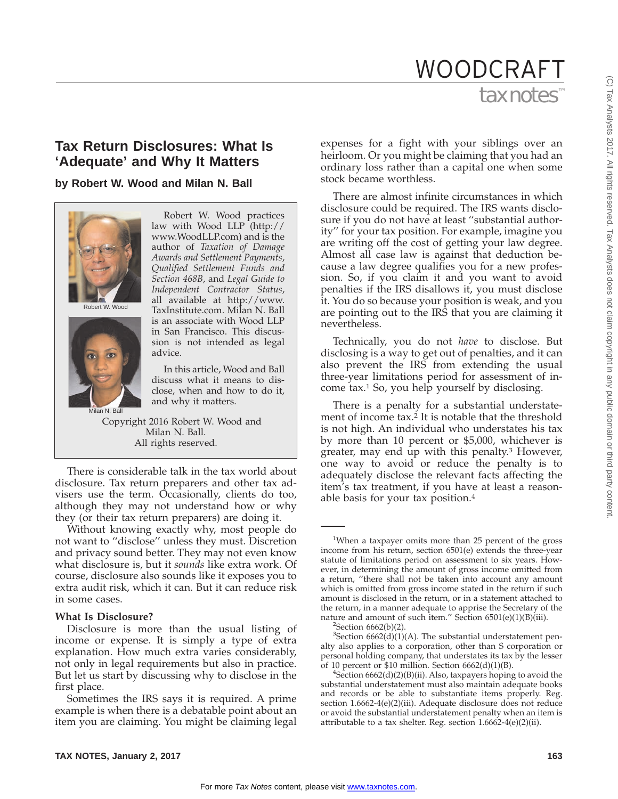# tax notes WOODCRAFT

# **Tax Return Disclosures: What Is 'Adequate' and Why It Matters**

## **by Robert W. Wood and Milan N. Ball**



Milan N. Ball

law with Wood LLP (http:// www.WoodLLP.com) and is the author of *Taxation of Damage Awards and Settlement Payments*, *Qualified Settlement Funds and Section 468B*, and *Legal Guide to Independent Contractor Status*, all available at http://www. TaxInstitute.com. Milan N. Ball is an associate with Wood LLP in San Francisco. This discussion is not intended as legal advice.

Robert W. Wood practices

In this article, Wood and Ball discuss what it means to disclose, when and how to do it, and why it matters.

Copyright 2016 Robert W. Wood and Milan N. Ball. All rights reserved.

There is considerable talk in the tax world about disclosure. Tax return preparers and other tax advisers use the term. Occasionally, clients do too, although they may not understand how or why they (or their tax return preparers) are doing it.

Without knowing exactly why, most people do not want to ''disclose'' unless they must. Discretion and privacy sound better. They may not even know what disclosure is, but it *sounds* like extra work. Of course, disclosure also sounds like it exposes you to extra audit risk, which it can. But it can reduce risk in some cases.

### **What Is Disclosure?**

Disclosure is more than the usual listing of income or expense. It is simply a type of extra explanation. How much extra varies considerably, not only in legal requirements but also in practice. But let us start by discussing why to disclose in the first place.

Sometimes the IRS says it is required. A prime example is when there is a debatable point about an item you are claiming. You might be claiming legal

expenses for a fight with your siblings over an heirloom. Or you might be claiming that you had an ordinary loss rather than a capital one when some stock became worthless.

There are almost infinite circumstances in which disclosure could be required. The IRS wants disclosure if you do not have at least ''substantial authority'' for your tax position. For example, imagine you are writing off the cost of getting your law degree. Almost all case law is against that deduction because a law degree qualifies you for a new profession. So, if you claim it and you want to avoid penalties if the IRS disallows it, you must disclose it. You do so because your position is weak, and you are pointing out to the IRS that you are claiming it nevertheless.

Technically, you do not *have* to disclose. But disclosing is a way to get out of penalties, and it can also prevent the IRS from extending the usual three-year limitations period for assessment of income tax.1 So, you help yourself by disclosing.

There is a penalty for a substantial understatement of income tax.2 It is notable that the threshold is not high. An individual who understates his tax by more than 10 percent or \$5,000, whichever is greater, may end up with this penalty.<sup>3</sup> However, one way to avoid or reduce the penalty is to adequately disclose the relevant facts affecting the item's tax treatment, if you have at least a reasonable basis for your tax position.4

<sup>&</sup>lt;sup>1</sup>When a taxpayer omits more than 25 percent of the gross income from his return, section 6501(e) extends the three-year statute of limitations period on assessment to six years. However, in determining the amount of gross income omitted from a return, ''there shall not be taken into account any amount which is omitted from gross income stated in the return if such amount is disclosed in the return, or in a statement attached to the return, in a manner adequate to apprise the Secretary of the nature and amount of such item." Section 6501(e)(1)(B)(iii).

 ${}^{2}$ Section 6662(b)(2).

 ${}^{3}$ Section 6662(d)(1)(A). The substantial understatement penalty also applies to a corporation, other than S corporation or personal holding company, that understates its tax by the lesser of 10 percent or  $$10$  million. Section  $6662(d)(1)(B)$ .

 ${}^{4}$ Section 6662(d)(2)(B)(ii). Also, taxpayers hoping to avoid the substantial understatement must also maintain adequate books and records or be able to substantiate items properly. Reg. section 1.6662-4(e)(2)(iii). Adequate disclosure does not reduce or avoid the substantial understatement penalty when an item is attributable to a tax shelter. Reg. section 1.6662-4(e)(2)(ii).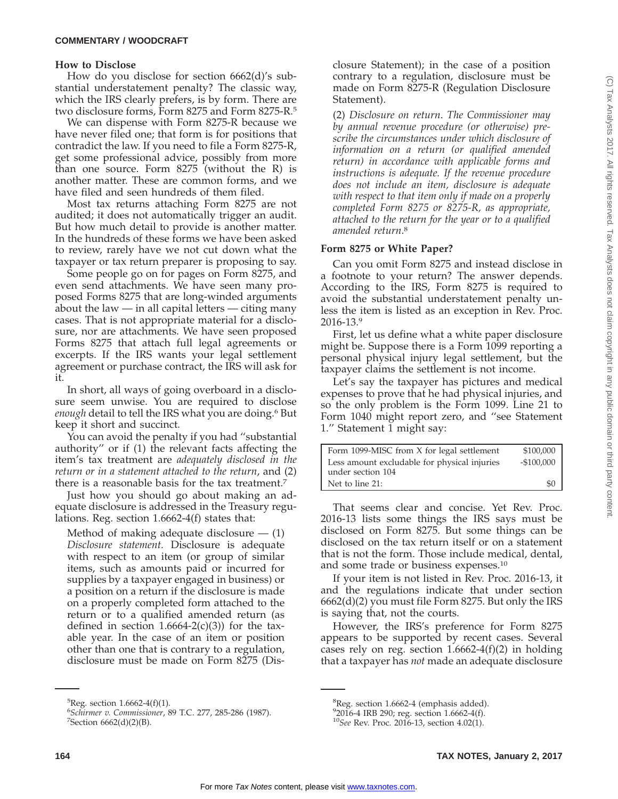#### **COMMENTARY / WOODCRAFT**

#### **How to Disclose**

How do you disclose for section 6662(d)'s substantial understatement penalty? The classic way, which the IRS clearly prefers, is by form. There are two disclosure forms, Form 8275 and Form 8275-R.5

We can dispense with Form 8275-R because we have never filed one; that form is for positions that contradict the law. If you need to file a Form 8275-R, get some professional advice, possibly from more than one source. Form 8275 (without the R) is another matter. These are common forms, and we have filed and seen hundreds of them filed.

Most tax returns attaching Form 8275 are not audited; it does not automatically trigger an audit. But how much detail to provide is another matter. In the hundreds of these forms we have been asked to review, rarely have we not cut down what the taxpayer or tax return preparer is proposing to say.

Some people go on for pages on Form 8275, and even send attachments. We have seen many proposed Forms 8275 that are long-winded arguments about the law — in all capital letters — citing many cases. That is not appropriate material for a disclosure, nor are attachments. We have seen proposed Forms 8275 that attach full legal agreements or excerpts. If the IRS wants your legal settlement agreement or purchase contract, the IRS will ask for it.

In short, all ways of going overboard in a disclosure seem unwise. You are required to disclose *enough* detail to tell the IRS what you are doing.6 But keep it short and succinct.

You can avoid the penalty if you had ''substantial authority'' or if (1) the relevant facts affecting the item's tax treatment are *adequately disclosed in the return or in a statement attached to the return*, and (2) there is a reasonable basis for the tax treatment.7

Just how you should go about making an adequate disclosure is addressed in the Treasury regulations. Reg. section 1.6662-4(f) states that:

Method of making adequate disclosure  $-$  (1) *Disclosure statement.* Disclosure is adequate with respect to an item (or group of similar items, such as amounts paid or incurred for supplies by a taxpayer engaged in business) or a position on a return if the disclosure is made on a properly completed form attached to the return or to a qualified amended return (as defined in section  $1.6664-2(c)(3)$  for the taxable year. In the case of an item or position other than one that is contrary to a regulation, disclosure must be made on Form 8275 (Disclosure Statement); in the case of a position contrary to a regulation, disclosure must be made on Form 8275-R (Regulation Disclosure Statement).

(2) *Disclosure on return*. *The Commissioner may by annual revenue procedure (or otherwise) prescribe the circumstances under which disclosure of information on a return (or qualified amended return) in accordance with applicable forms and instructions is adequate. If the revenue procedure does not include an item, disclosure is adequate with respect to that item only if made on a properly completed Form 8275 or 8275-R, as appropriate, attached to the return for the year or to a qualified amended return*. 8

#### **Form 8275 or White Paper?**

Can you omit Form 8275 and instead disclose in a footnote to your return? The answer depends. According to the IRS, Form 8275 is required to avoid the substantial understatement penalty unless the item is listed as an exception in Rev. Proc. 2016-13.9

First, let us define what a white paper disclosure might be. Suppose there is a Form 1099 reporting a personal physical injury legal settlement, but the taxpayer claims the settlement is not income.

Let's say the taxpayer has pictures and medical expenses to prove that he had physical injuries, and so the only problem is the Form 1099. Line 21 to Form 1040 might report zero, and ''see Statement 1.'' Statement 1 might say:

| Form 1099-MISC from X for legal settlement   | \$100,000   |
|----------------------------------------------|-------------|
| Less amount excludable for physical injuries | $-$100,000$ |
| under section 104                            |             |
| Net to line 21:                              | \$0         |

That seems clear and concise. Yet Rev. Proc. 2016-13 lists some things the IRS says must be disclosed on Form 8275. But some things can be disclosed on the tax return itself or on a statement that is not the form. Those include medical, dental, and some trade or business expenses.10

If your item is not listed in Rev. Proc. 2016-13, it and the regulations indicate that under section 6662(d)(2) you must file Form 8275. But only the IRS is saying that, not the courts.

However, the IRS's preference for Form 8275 appears to be supported by recent cases. Several cases rely on reg. section  $1.6662-4(f)(2)$  in holding that a taxpayer has *not* made an adequate disclosure

<sup>5</sup> Reg. section 1.6662-4(f)(1).

<sup>&</sup>lt;sup>6</sup> Schirmer v. Commissioner, 89 T.C. 277, 285-286 (1987).<br><sup>7</sup> Section 6662(d)(2)(B)  $7$ Section 6662(d)(2)(B).

<sup>&</sup>lt;sup>8</sup>Reg. section 1.6662-4 (emphasis added).

<sup>9</sup> 2016-4 IRB 290; reg. section 1.6662-4(f).

<sup>10</sup>*See* Rev. Proc. 2016-13, section 4.02(1).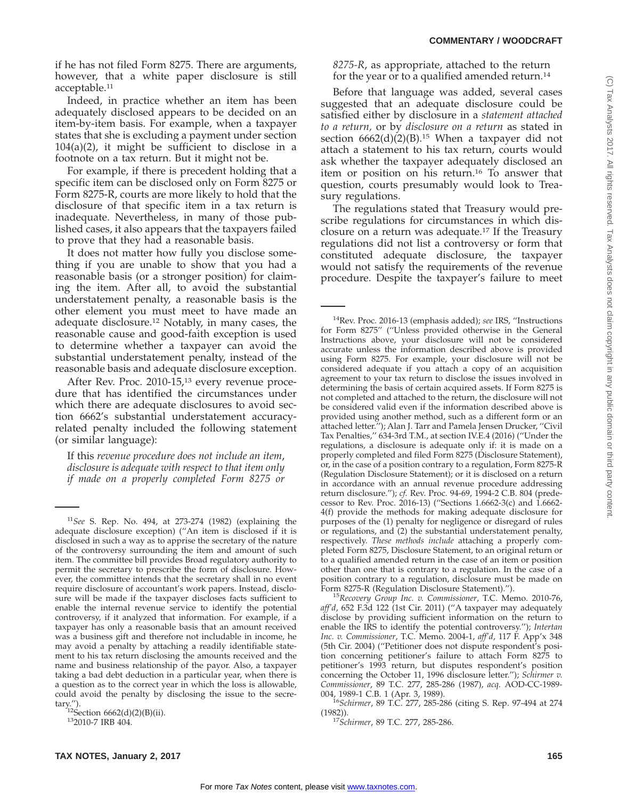if he has not filed Form 8275. There are arguments, however, that a white paper disclosure is still acceptable.<sup>11</sup>

Indeed, in practice whether an item has been adequately disclosed appears to be decided on an item-by-item basis. For example, when a taxpayer states that she is excluding a payment under section 104(a)(2), it might be sufficient to disclose in a footnote on a tax return. But it might not be.

For example, if there is precedent holding that a specific item can be disclosed only on Form 8275 or Form 8275-R, courts are more likely to hold that the disclosure of that specific item in a tax return is inadequate. Nevertheless, in many of those published cases, it also appears that the taxpayers failed to prove that they had a reasonable basis.

It does not matter how fully you disclose something if you are unable to show that you had a reasonable basis (or a stronger position) for claiming the item. After all, to avoid the substantial understatement penalty, a reasonable basis is the other element you must meet to have made an adequate disclosure.12 Notably, in many cases, the reasonable cause and good-faith exception is used to determine whether a taxpayer can avoid the substantial understatement penalty, instead of the reasonable basis and adequate disclosure exception.

After Rev. Proc. 2010-15,<sup>13</sup> every revenue procedure that has identified the circumstances under which there are adequate disclosures to avoid section 6662's substantial understatement accuracyrelated penalty included the following statement (or similar language):

If this *revenue procedure does not include an item*, *disclosure is adequate with respect to that item only if made on a properly completed Form 8275 or* *8275-R*, as appropriate, attached to the return for the year or to a qualified amended return.14

Before that language was added, several cases suggested that an adequate disclosure could be satisfied either by disclosure in a *statement attached to a return,* or by *disclosure on a return* as stated in section  $6662(d)(2)(B).$ <sup>15</sup> When a taxpayer did not attach a statement to his tax return, courts would ask whether the taxpayer adequately disclosed an item or position on his return.16 To answer that question, courts presumably would look to Treasury regulations.

The regulations stated that Treasury would prescribe regulations for circumstances in which disclosure on a return was adequate.17 If the Treasury regulations did not list a controversy or form that constituted adequate disclosure, the taxpayer would not satisfy the requirements of the revenue procedure. Despite the taxpayer's failure to meet

<sup>15</sup>Recovery Group Inc. v. Commissioner, T.C. Memo. 2010-76, *aff'd*, 652 F.3d 122 (1st Cir. 2011) (''A taxpayer may adequately disclose by providing sufficient information on the return to enable the IRS to identify the potential controversy.''); *Intertan Inc. v. Commissioner*, T.C. Memo. 2004-1, *aff'd*, 117 F. App'x 348 (5th Cir. 2004) (''Petitioner does not dispute respondent's position concerning petitioner's failure to attach Form 8275 to petitioner's 1993 return, but disputes respondent's position concerning the October 11, 1996 disclosure letter.''); *Schirmer v. Commissioner*, 89 T.C. 277, 285-286 (1987), *acq.* AOD-CC-1989-

<sup>11</sup>*See* S. Rep. No. 494, at 273-274 (1982) (explaining the adequate disclosure exception) (''An item is disclosed if it is disclosed in such a way as to apprise the secretary of the nature of the controversy surrounding the item and amount of such item. The committee bill provides Broad regulatory authority to permit the secretary to prescribe the form of disclosure. However, the committee intends that the secretary shall in no event require disclosure of accountant's work papers. Instead, disclosure will be made if the taxpayer discloses facts sufficient to enable the internal revenue service to identify the potential controversy, if it analyzed that information. For example, if a taxpayer has only a reasonable basis that an amount received was a business gift and therefore not includable in income, he may avoid a penalty by attaching a readily identifiable statement to his tax return disclosing the amounts received and the name and business relationship of the payor. Also, a taxpayer taking a bad debt deduction in a particular year, when there is a question as to the correct year in which the loss is allowable, could avoid the penalty by disclosing the issue to the secre-

tary.").<br>  $^{12}$ Section 6662(d)(2)(B)(ii).<br>  $^{13}$ 2010-7 IRB 404.

<sup>14</sup>Rev. Proc. 2016-13 (emphasis added); *see* IRS, ''Instructions for Form 8275'' (''Unless provided otherwise in the General Instructions above, your disclosure will not be considered accurate unless the information described above is provided using Form 8275. For example, your disclosure will not be considered adequate if you attach a copy of an acquisition agreement to your tax return to disclose the issues involved in determining the basis of certain acquired assets. If Form 8275 is not completed and attached to the return, the disclosure will not be considered valid even if the information described above is provided using another method, such as a different form or an attached letter.''); Alan J. Tarr and Pamela Jensen Drucker, ''Civil Tax Penalties,'' 634-3rd T.M., at section IV.E.4 (2016) (''Under the regulations, a disclosure is adequate only if: it is made on a properly completed and filed Form 8275 (Disclosure Statement), or, in the case of a position contrary to a regulation, Form 8275-R (Regulation Disclosure Statement); or it is disclosed on a return in accordance with an annual revenue procedure addressing return disclosure.''); *cf.* Rev. Proc. 94-69, 1994-2 C.B. 804 (predecessor to Rev. Proc. 2016-13) (''Sections 1.6662-3(c) and 1.6662- 4(f) provide the methods for making adequate disclosure for purposes of the (1) penalty for negligence or disregard of rules or regulations, and (2) the substantial understatement penalty, respectively. *These methods include* attaching a properly completed Form 8275, Disclosure Statement, to an original return or to a qualified amended return in the case of an item or position other than one that is contrary to a regulation. In the case of a position contrary to a regulation, disclosure must be made on Form 8275-R (Regulation Disclosure Statement).").

<sup>&</sup>lt;sup>16</sup>Schirmer, 89 T.C. 277, 285-286 (citing S. Rep. 97-494 at 274

<sup>(1982)).</sup> <sup>17</sup>*Schirmer*, 89 T.C. 277, 285-286.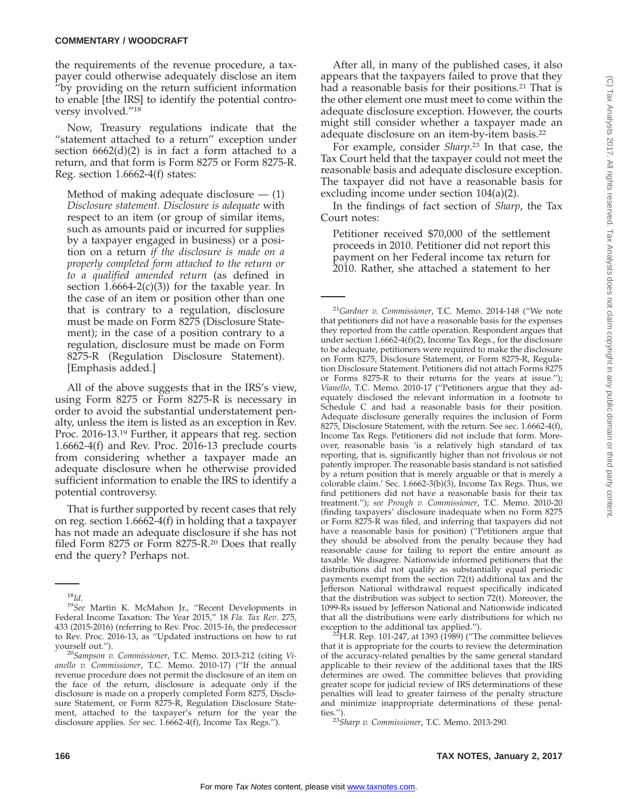the requirements of the revenue procedure, a taxpayer could otherwise adequately disclose an item ''by providing on the return sufficient information to enable [the IRS] to identify the potential controversy involved.''18

Now, Treasury regulations indicate that the "statement attached to a return" exception under section 6662(d)(2) is in fact a form attached to a return, and that form is Form 8275 or Form 8275-R. Reg. section 1.6662-4(f) states:

Method of making adequate disclosure  $-$  (1) *Disclosure statement. Disclosure is adequate* with respect to an item (or group of similar items, such as amounts paid or incurred for supplies by a taxpayer engaged in business) or a position on a return *if the disclosure is made on a properly completed form attached to the return or to a qualified amended return* (as defined in section  $1.6664-2(c)(3)$  for the taxable year. In the case of an item or position other than one that is contrary to a regulation, disclosure must be made on Form 8275 (Disclosure Statement); in the case of a position contrary to a regulation, disclosure must be made on Form 8275-R (Regulation Disclosure Statement). [Emphasis added.]

All of the above suggests that in the IRS's view, using Form 8275 or Form 8275-R is necessary in order to avoid the substantial understatement penalty, unless the item is listed as an exception in Rev. Proc. 2016-13.19 Further, it appears that reg. section 1.6662-4(f) and Rev. Proc. 2016-13 preclude courts from considering whether a taxpayer made an adequate disclosure when he otherwise provided sufficient information to enable the IRS to identify a potential controversy.

That is further supported by recent cases that rely on reg. section 1.6662-4(f) in holding that a taxpayer has not made an adequate disclosure if she has not filed Form 8275 or Form 8275-R.20 Does that really end the query? Perhaps not.

After all, in many of the published cases, it also appears that the taxpayers failed to prove that they had a reasonable basis for their positions.<sup>21</sup> That is the other element one must meet to come within the adequate disclosure exception. However, the courts might still consider whether a taxpayer made an adequate disclosure on an item-by-item basis.22

For example, consider *Sharp*. <sup>23</sup> In that case, the Tax Court held that the taxpayer could not meet the reasonable basis and adequate disclosure exception. The taxpayer did not have a reasonable basis for excluding income under section 104(a)(2).

In the findings of fact section of *Sharp*, the Tax Court notes:

Petitioner received \$70,000 of the settlement proceeds in 2010. Petitioner did not report this payment on her Federal income tax return for 2010. Rather, she attached a statement to her

exception to the additional tax applied.").<br><sup>22</sup>H.R. Rep. 101-247, at 1393 (1989) ("The committee believes that it is appropriate for the courts to review the determination of the accuracy-related penalties by the same general standard applicable to their review of the additional taxes that the IRS determines are owed. The committee believes that providing greater scope for judicial review of IRS determinations of these penalties will lead to greater fairness of the penalty structure and minimize inappropriate determinations of these penalties.''). <sup>23</sup>*Sharp v. Commissioner*, T.C. Memo. 2013-290.

<sup>18</sup>*Id*. <sup>19</sup>*See* Martin K. McMahon Jr., ''Recent Developments in Federal Income Taxation: The Year 2015,'' 18 *Fla. Tax Rev*. 275, 433 (2015-2016) (referring to Rev. Proc. 2015-16, the predecessor to Rev. Proc. 2016-13, as ''Updated instructions on how to rat yourself out.''). <sup>20</sup>*Sampson v. Commissioner*, T.C. Memo. 2013-212 (citing *Vi-*

*anello v. Commissioner*, T.C. Memo. 2010-17) (''If the annual revenue procedure does not permit the disclosure of an item on the face of the return, disclosure is adequate only if the disclosure is made on a properly completed Form 8275, Disclosure Statement, or Form 8275-R, Regulation Disclosure Statement, attached to the taxpayer's return for the year the disclosure applies. *See* sec. 1.6662-4(f), Income Tax Regs.'').

<sup>21</sup>*Gardner v. Commissioner*, T.C. Memo. 2014-148 (''We note that petitioners did not have a reasonable basis for the expenses they reported from the cattle operation. Respondent argues that under section 1.6662-4(f)(2), Income Tax Regs., for the disclosure to be adequate, petitioners were required to make the disclosure on Form 8275, Disclosure Statement, or Form 8275-R, Regulation Disclosure Statement. Petitioners did not attach Forms 8275 or Forms 8275-R to their returns for the years at issue.''); *Vianello*, T.C. Memo. 2010-17 (''Petitioners argue that they adequately disclosed the relevant information in a footnote to Schedule C and had a reasonable basis for their position. Adequate disclosure generally requires the inclusion of Form 8275, Disclosure Statement, with the return. See sec. 1.6662-4(f), Income Tax Regs. Petitioners did not include that form. Moreover, reasonable basis 'is a relatively high standard of tax reporting, that is, significantly higher than not frivolous or not patently improper. The reasonable basis standard is not satisfied by a return position that is merely arguable or that is merely a colorable claim.' Sec. 1.6662-3(b)(3), Income Tax Regs. Thus, we find petitioners did not have a reasonable basis for their tax treatment.''); *see Prough v. Commissioner*, T.C. Memo. 2010-20 (finding taxpayers' disclosure inadequate when no Form 8275 or Form 8275-R was filed, and inferring that taxpayers did not have a reasonable basis for position) (''Petitioners argue that they should be absolved from the penalty because they had reasonable cause for failing to report the entire amount as taxable. We disagree. Nationwide informed petitioners that the distributions did not qualify as substantially equal periodic payments exempt from the section 72(t) additional tax and the Jefferson National withdrawal request specifically indicated that the distribution was subject to section 72(t). Moreover, the 1099-Rs issued by Jefferson National and Nationwide indicated that all the distributions were early distributions for which no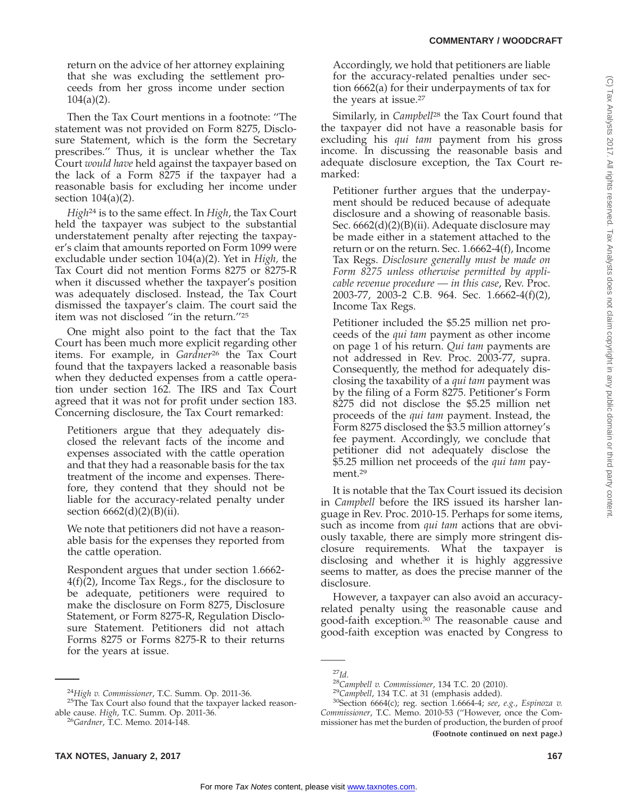return on the advice of her attorney explaining that she was excluding the settlement proceeds from her gross income under section 104(a)(2).

Then the Tax Court mentions in a footnote: ''The statement was not provided on Form 8275, Disclosure Statement, which is the form the Secretary prescribes.'' Thus, it is unclear whether the Tax Court *would have* held against the taxpayer based on the lack of a Form 8275 if the taxpayer had a reasonable basis for excluding her income under section 104(a)(2).

*High*<sup>24</sup> is to the same effect. In *High*, the Tax Court held the taxpayer was subject to the substantial understatement penalty after rejecting the taxpayer's claim that amounts reported on Form 1099 were excludable under section 104(a)(2). Yet in *High,* the Tax Court did not mention Forms 8275 or 8275-R when it discussed whether the taxpayer's position was adequately disclosed. Instead, the Tax Court dismissed the taxpayer's claim. The court said the item was not disclosed ''in the return.''25

One might also point to the fact that the Tax Court has been much more explicit regarding other items. For example, in *Gardner*<sup>26</sup> the Tax Court found that the taxpayers lacked a reasonable basis when they deducted expenses from a cattle operation under section 162. The IRS and Tax Court agreed that it was not for profit under section 183. Concerning disclosure, the Tax Court remarked:

Petitioners argue that they adequately disclosed the relevant facts of the income and expenses associated with the cattle operation and that they had a reasonable basis for the tax treatment of the income and expenses. Therefore, they contend that they should not be liable for the accuracy-related penalty under section  $6662(d)(2)(B)(ii)$ .

We note that petitioners did not have a reasonable basis for the expenses they reported from the cattle operation.

Respondent argues that under section 1.6662- 4(f)(2), Income Tax Regs., for the disclosure to be adequate, petitioners were required to make the disclosure on Form 8275, Disclosure Statement, or Form 8275-R, Regulation Disclosure Statement. Petitioners did not attach Forms 8275 or Forms 8275-R to their returns for the years at issue.

Accordingly, we hold that petitioners are liable for the accuracy-related penalties under section 6662(a) for their underpayments of tax for the years at issue.<sup>27</sup>

Similarly, in *Campbell*<sup>28</sup> the Tax Court found that the taxpayer did not have a reasonable basis for excluding his *qui tam* payment from his gross income. In discussing the reasonable basis and adequate disclosure exception, the Tax Court remarked:

Petitioner further argues that the underpayment should be reduced because of adequate disclosure and a showing of reasonable basis. Sec. 6662(d)(2)(B)(ii). Adequate disclosure may be made either in a statement attached to the return or on the return. Sec. 1.6662-4(f), Income Tax Regs. *Disclosure generally must be made on Form 8275 unless otherwise permitted by applicable revenue procedure — in this case*, Rev. Proc. 2003-77, 2003-2 C.B. 964. Sec. 1.6662-4(f)(2), Income Tax Regs.

Petitioner included the \$5.25 million net proceeds of the *qui tam* payment as other income on page 1 of his return. *Qui tam* payments are not addressed in Rev. Proc. 2003-77, supra. Consequently, the method for adequately disclosing the taxability of a *qui tam* payment was by the filing of a Form 8275. Petitioner's Form 8275 did not disclose the \$5.25 million net proceeds of the *qui tam* payment. Instead, the Form 8275 disclosed the \$3.5 million attorney's fee payment. Accordingly, we conclude that petitioner did not adequately disclose the \$5.25 million net proceeds of the *qui tam* payment.<sup>29</sup>

It is notable that the Tax Court issued its decision in *Campbell* before the IRS issued its harsher language in Rev. Proc. 2010-15. Perhaps for some items, such as income from *qui tam* actions that are obviously taxable, there are simply more stringent disclosure requirements. What the taxpayer is disclosing and whether it is highly aggressive seems to matter, as does the precise manner of the disclosure.

However, a taxpayer can also avoid an accuracyrelated penalty using the reasonable cause and good-faith exception.<sup>30</sup> The reasonable cause and good-faith exception was enacted by Congress to

(C) Tax Analysts 2017. All rights reserved. Tax Analysts does not claim copyright in any public domain or third party content.(C) Tax Analysts 2017. All rights reserved. Tax Analysts does not claim copyright in any public domain or third party content

<sup>&</sup>lt;sup>24</sup>*High v. Commissioner*, T.C. Summ. Op. 2011-36.<br><sup>25</sup>The Tax Court also found that the taxpayer lacked reasonable cause. *High*, T.C. Summ. Op. 2011-36. <sup>26</sup>*Gardner*, T.C. Memo. 2014-148.

<sup>27</sup>*Id*. <sup>28</sup>*Campbell v. Commissioner*, 134 T.C. 20 (2010). <sup>29</sup>*Campbell*, 134 T.C. at 31 (emphasis added). 30Section 6664(c); reg. section 1.6664-4; *see*, *e.g.*, *Espinoza v. Commissioner*, T.C. Memo. 2010-53 (''However, once the Commissioner has met the burden of production, the burden of proof **(Footnote continued on next page.)**